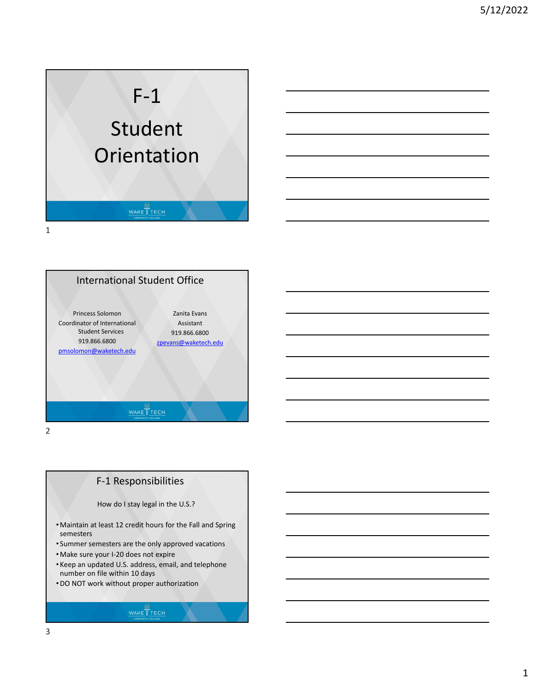





F‐1 Responsibilities



- •Maintain at least 12 credit hours for the Fall and Spring semesters
- Summer semesters are the only approved vacations
- •Make sure your I‐20 does not expire
- Keep an updated U.S. address, email, and telephone number on file within 10 days
- •DO NOT work without proper authorization

## WAKE TECH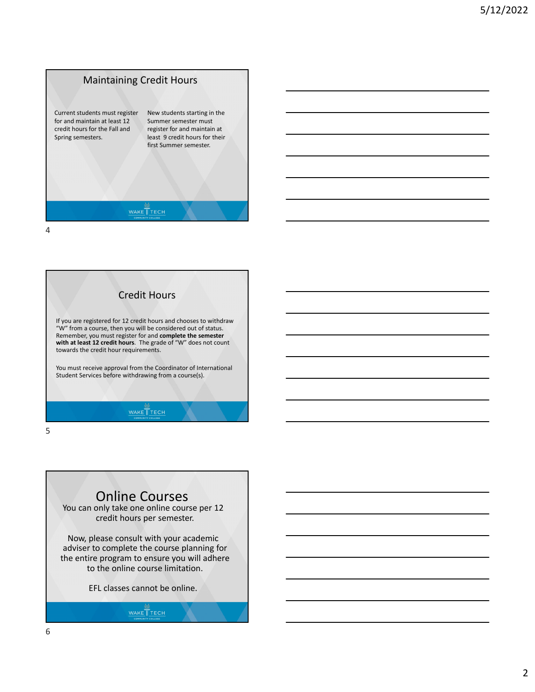





## Online Courses

You can only take one online course per 12 credit hours per semester.

Now, please consult with your academic adviser to complete the course planning for the entire program to ensure you will adhere to the online course limitation.

EFL classes cannot be online.

WAKE TECH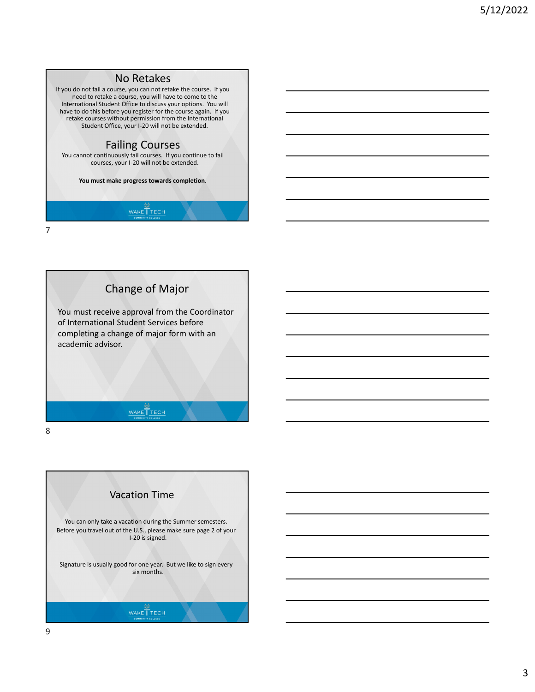



Vacation Time You can only take a vacation during the Summer semesters. Before you travel out of the U.S., please make sure page 2 of your I‐20 is signed. Signature is usually good for one year. But we like to sign every six months. WAKE TECH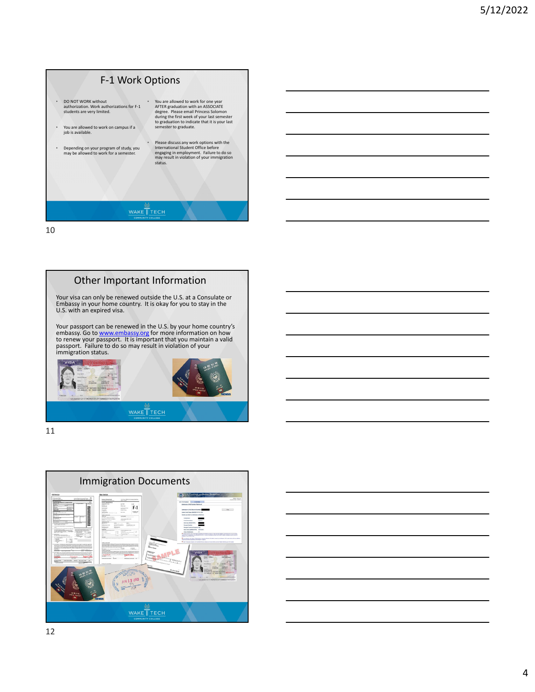



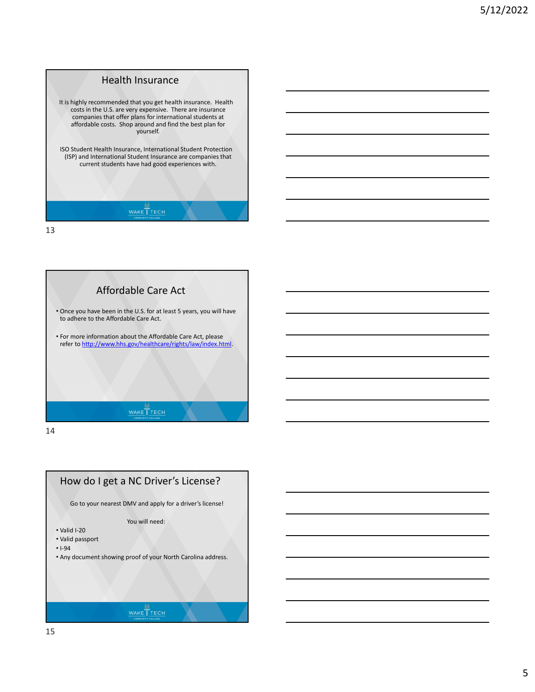

Affordable Care Act • Once you have been in the U.S. for at least 5 years, you will have to adhere to the Affordable Care Act. • For more information about the Affordable Care Act, please refer to http://www.hhs.gov/healthcare/rights/law/index.html. WAKE TECH

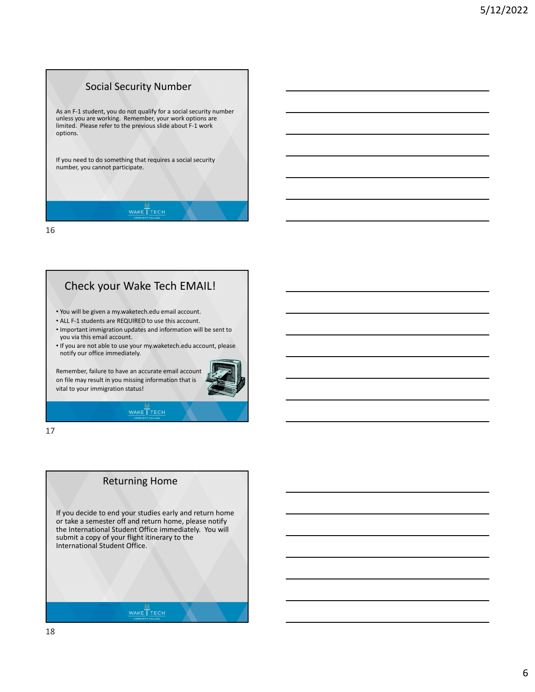

## Check your Wake Tech EMAIL!

• You will be given a my.waketech.edu email account.

- ALL F‐1 students are REQUIRED to use this account.
- Important immigration updates and information will be sent to you via this email account.

• If you are not able to use your my.waketech.edu account, please notify our office immediately.

Remember, failure to have an accurate email account on file may result in you missing information that is vital to your immigration status!



## WAKE TECH

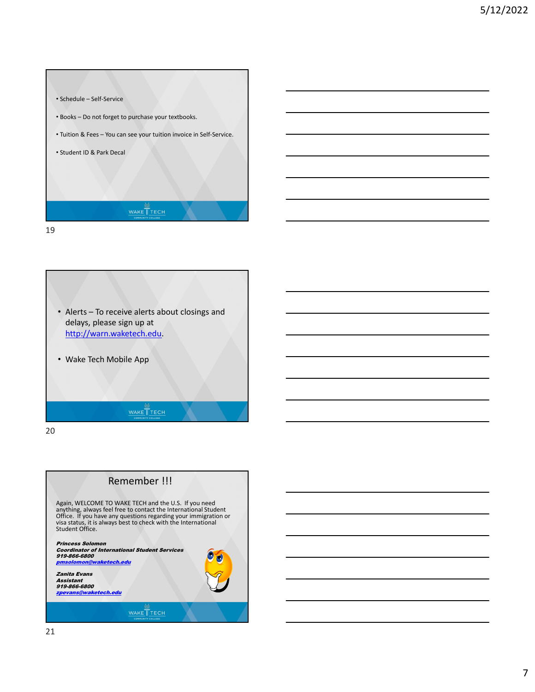





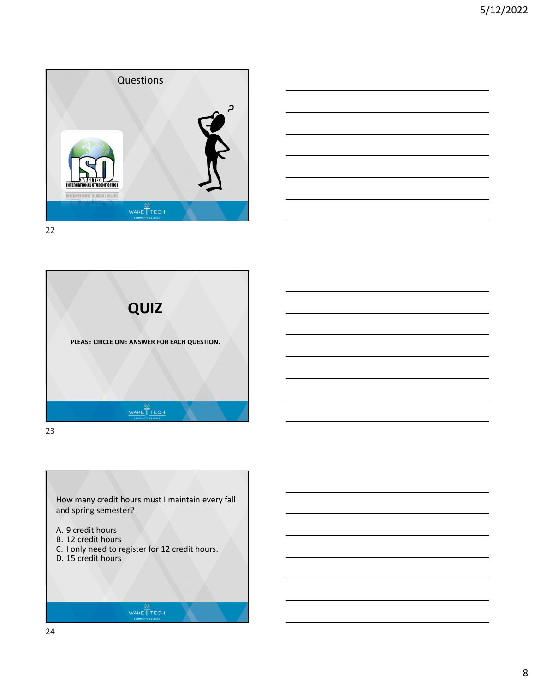





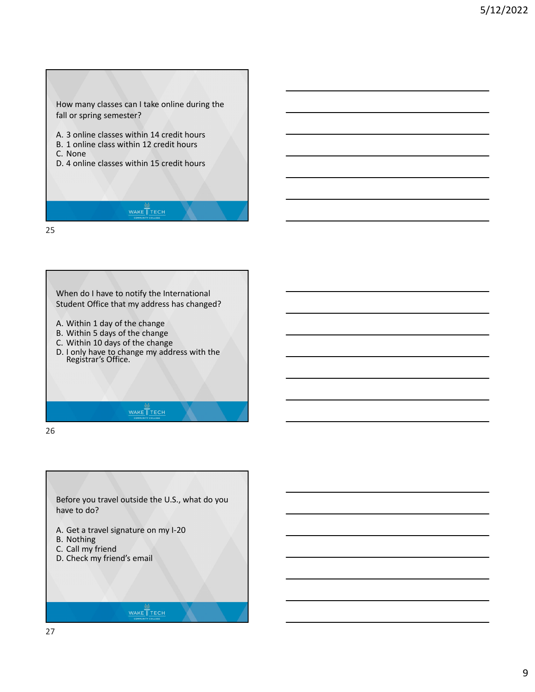